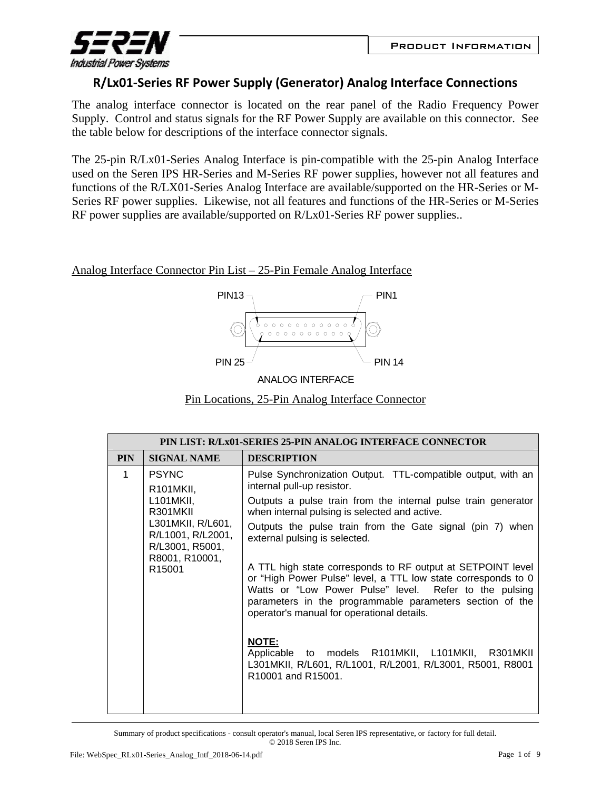

## **R/Lx01‐Series RF Power Supply (Generator) Analog Interface Connections**

The analog interface connector is located on the rear panel of the Radio Frequency Power Supply. Control and status signals for the RF Power Supply are available on this connector. See the table below for descriptions of the interface connector signals.

The 25-pin R/Lx01-Series Analog Interface is pin-compatible with the 25-pin Analog Interface used on the Seren IPS HR-Series and M-Series RF power supplies, however not all features and functions of the R/LX01-Series Analog Interface are available/supported on the HR-Series or M-Series RF power supplies. Likewise, not all features and functions of the HR-Series or M-Series RF power supplies are available/supported on R/Lx01-Series RF power supplies..

Analog Interface Connector Pin List – 25-Pin Female Analog Interface



ANALOG INTERFACE



|            | PIN LIST: R/Lx01-SERIES 25-PIN ANALOG INTERFACE CONNECTOR                                                                                               |                                                                                                                                                                                                                                                                                                                                                                                                                                                                                                                                                                                                                                                                                                                                                                        |  |
|------------|---------------------------------------------------------------------------------------------------------------------------------------------------------|------------------------------------------------------------------------------------------------------------------------------------------------------------------------------------------------------------------------------------------------------------------------------------------------------------------------------------------------------------------------------------------------------------------------------------------------------------------------------------------------------------------------------------------------------------------------------------------------------------------------------------------------------------------------------------------------------------------------------------------------------------------------|--|
| <b>PIN</b> | <b>SIGNAL NAME</b>                                                                                                                                      | <b>DESCRIPTION</b>                                                                                                                                                                                                                                                                                                                                                                                                                                                                                                                                                                                                                                                                                                                                                     |  |
| 1          | <b>PSYNC</b><br>R101MKII,<br>L101MKII,<br>R301MKII<br>L301MKII, R/L601,<br>R/L1001, R/L2001,<br>R/L3001, R5001,<br>R8001, R10001,<br>R <sub>15001</sub> | Pulse Synchronization Output. TTL-compatible output, with an<br>internal pull-up resistor.<br>Outputs a pulse train from the internal pulse train generator<br>when internal pulsing is selected and active.<br>Outputs the pulse train from the Gate signal (pin 7) when<br>external pulsing is selected.<br>A TTL high state corresponds to RF output at SETPOINT level<br>or "High Power Pulse" level, a TTL low state corresponds to 0<br>Watts or "Low Power Pulse" level. Refer to the pulsing<br>parameters in the programmable parameters section of the<br>operator's manual for operational details.<br><b>NOTE:</b><br>Applicable to models R101MKII, L101MKII, R301MKII<br>L301MKII, R/L601, R/L1001, R/L2001, R/L3001, R5001, R8001<br>R10001 and R15001. |  |
|            |                                                                                                                                                         |                                                                                                                                                                                                                                                                                                                                                                                                                                                                                                                                                                                                                                                                                                                                                                        |  |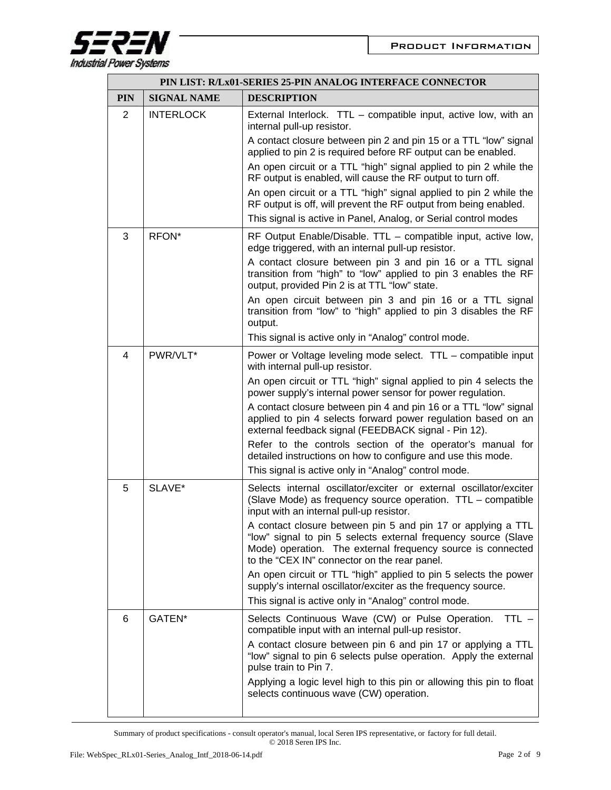

|            | PIN LIST: R/Lx01-SERIES 25-PIN ANALOG INTERFACE CONNECTOR |                                                                                                                                                                                                                                               |  |
|------------|-----------------------------------------------------------|-----------------------------------------------------------------------------------------------------------------------------------------------------------------------------------------------------------------------------------------------|--|
| <b>PIN</b> | <b>SIGNAL NAME</b>                                        | <b>DESCRIPTION</b>                                                                                                                                                                                                                            |  |
| 2          | <b>INTERLOCK</b>                                          | External Interlock. TTL - compatible input, active low, with an<br>internal pull-up resistor.                                                                                                                                                 |  |
|            |                                                           | A contact closure between pin 2 and pin 15 or a TTL "low" signal<br>applied to pin 2 is required before RF output can be enabled.                                                                                                             |  |
|            |                                                           | An open circuit or a TTL "high" signal applied to pin 2 while the<br>RF output is enabled, will cause the RF output to turn off.                                                                                                              |  |
|            |                                                           | An open circuit or a TTL "high" signal applied to pin 2 while the<br>RF output is off, will prevent the RF output from being enabled.                                                                                                         |  |
|            |                                                           | This signal is active in Panel, Analog, or Serial control modes                                                                                                                                                                               |  |
| 3          | RFON*                                                     | RF Output Enable/Disable. TTL – compatible input, active low,<br>edge triggered, with an internal pull-up resistor.                                                                                                                           |  |
|            |                                                           | A contact closure between pin 3 and pin 16 or a TTL signal<br>transition from "high" to "low" applied to pin 3 enables the RF<br>output, provided Pin 2 is at TTL "low" state.                                                                |  |
|            |                                                           | An open circuit between pin 3 and pin 16 or a TTL signal<br>transition from "low" to "high" applied to pin 3 disables the RF<br>output.                                                                                                       |  |
|            |                                                           | This signal is active only in "Analog" control mode.                                                                                                                                                                                          |  |
| 4          | PWR/VLT*                                                  | Power or Voltage leveling mode select. TTL - compatible input<br>with internal pull-up resistor.                                                                                                                                              |  |
|            |                                                           | An open circuit or TTL "high" signal applied to pin 4 selects the<br>power supply's internal power sensor for power regulation.                                                                                                               |  |
|            |                                                           | A contact closure between pin 4 and pin 16 or a TTL "low" signal<br>applied to pin 4 selects forward power regulation based on an<br>external feedback signal (FEEDBACK signal - Pin 12).                                                     |  |
|            |                                                           | Refer to the controls section of the operator's manual for<br>detailed instructions on how to configure and use this mode.<br>This signal is active only in "Analog" control mode.                                                            |  |
| 5          | SLAVE*                                                    | Selects internal oscillator/exciter or external oscillator/exciter                                                                                                                                                                            |  |
|            |                                                           | (Slave Mode) as frequency source operation. TTL - compatible<br>input with an internal pull-up resistor.                                                                                                                                      |  |
|            |                                                           | A contact closure between pin 5 and pin 17 or applying a TTL<br>"low" signal to pin 5 selects external frequency source (Slave<br>Mode) operation. The external frequency source is connected<br>to the "CEX IN" connector on the rear panel. |  |
|            |                                                           | An open circuit or TTL "high" applied to pin 5 selects the power<br>supply's internal oscillator/exciter as the frequency source.                                                                                                             |  |
|            |                                                           | This signal is active only in "Analog" control mode.                                                                                                                                                                                          |  |
| 6          | GATEN*                                                    | Selects Continuous Wave (CW) or Pulse Operation.<br>$TTL -$<br>compatible input with an internal pull-up resistor.                                                                                                                            |  |
|            |                                                           | A contact closure between pin 6 and pin 17 or applying a TTL<br>"low" signal to pin 6 selects pulse operation. Apply the external<br>pulse train to Pin 7.                                                                                    |  |
|            |                                                           | Applying a logic level high to this pin or allowing this pin to float<br>selects continuous wave (CW) operation.                                                                                                                              |  |
|            |                                                           |                                                                                                                                                                                                                                               |  |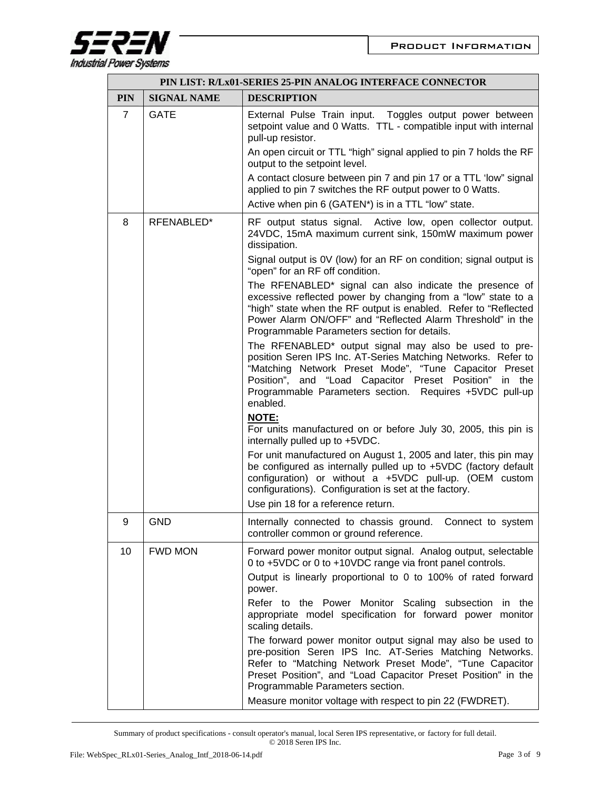

|                | PIN LIST: R/Lx01-SERIES 25-PIN ANALOG INTERFACE CONNECTOR |                                                                                                                                                                                                                                                                                                                   |  |
|----------------|-----------------------------------------------------------|-------------------------------------------------------------------------------------------------------------------------------------------------------------------------------------------------------------------------------------------------------------------------------------------------------------------|--|
| <b>PIN</b>     | <b>SIGNAL NAME</b>                                        | <b>DESCRIPTION</b>                                                                                                                                                                                                                                                                                                |  |
| $\overline{7}$ | <b>GATE</b>                                               | External Pulse Train input. Toggles output power between<br>setpoint value and 0 Watts. TTL - compatible input with internal<br>pull-up resistor.                                                                                                                                                                 |  |
|                |                                                           | An open circuit or TTL "high" signal applied to pin 7 holds the RF<br>output to the setpoint level.                                                                                                                                                                                                               |  |
|                |                                                           | A contact closure between pin 7 and pin 17 or a TTL 'low" signal<br>applied to pin 7 switches the RF output power to 0 Watts.                                                                                                                                                                                     |  |
|                |                                                           | Active when pin 6 (GATEN*) is in a TTL "low" state.                                                                                                                                                                                                                                                               |  |
| 8              | RFENABLED*                                                | RF output status signal. Active low, open collector output.<br>24VDC, 15mA maximum current sink, 150mW maximum power<br>dissipation.                                                                                                                                                                              |  |
|                |                                                           | Signal output is 0V (low) for an RF on condition; signal output is<br>"open" for an RF off condition.                                                                                                                                                                                                             |  |
|                |                                                           | The RFENABLED* signal can also indicate the presence of<br>excessive reflected power by changing from a "low" state to a<br>"high" state when the RF output is enabled. Refer to "Reflected<br>Power Alarm ON/OFF" and "Reflected Alarm Threshold" in the<br>Programmable Parameters section for details.         |  |
|                |                                                           | The RFENABLED* output signal may also be used to pre-<br>position Seren IPS Inc. AT-Series Matching Networks. Refer to<br>"Matching Network Preset Mode", "Tune Capacitor Preset<br>Position", and "Load Capacitor Preset Position" in the<br>Programmable Parameters section. Requires +5VDC pull-up<br>enabled. |  |
|                |                                                           | <b>NOTE:</b><br>For units manufactured on or before July 30, 2005, this pin is<br>internally pulled up to +5VDC.                                                                                                                                                                                                  |  |
|                |                                                           | For unit manufactured on August 1, 2005 and later, this pin may<br>be configured as internally pulled up to +5VDC (factory default<br>configuration) or without a +5VDC pull-up. (OEM custom<br>configurations). Configuration is set at the factory.<br>Use pin 18 for a reference return.                       |  |
| 9              | <b>GND</b>                                                | Internally connected to chassis ground. Connect to system<br>controller common or ground reference.                                                                                                                                                                                                               |  |
| 10             | <b>FWD MON</b>                                            | Forward power monitor output signal. Analog output, selectable<br>0 to +5VDC or 0 to +10VDC range via front panel controls.<br>Output is linearly proportional to 0 to 100% of rated forward                                                                                                                      |  |
|                |                                                           | power.<br>Refer to the Power Monitor Scaling subsection in the<br>appropriate model specification for forward power monitor<br>scaling details.                                                                                                                                                                   |  |
|                |                                                           | The forward power monitor output signal may also be used to<br>pre-position Seren IPS Inc. AT-Series Matching Networks.<br>Refer to "Matching Network Preset Mode", "Tune Capacitor<br>Preset Position", and "Load Capacitor Preset Position" in the<br>Programmable Parameters section.                          |  |
|                |                                                           | Measure monitor voltage with respect to pin 22 (FWDRET).                                                                                                                                                                                                                                                          |  |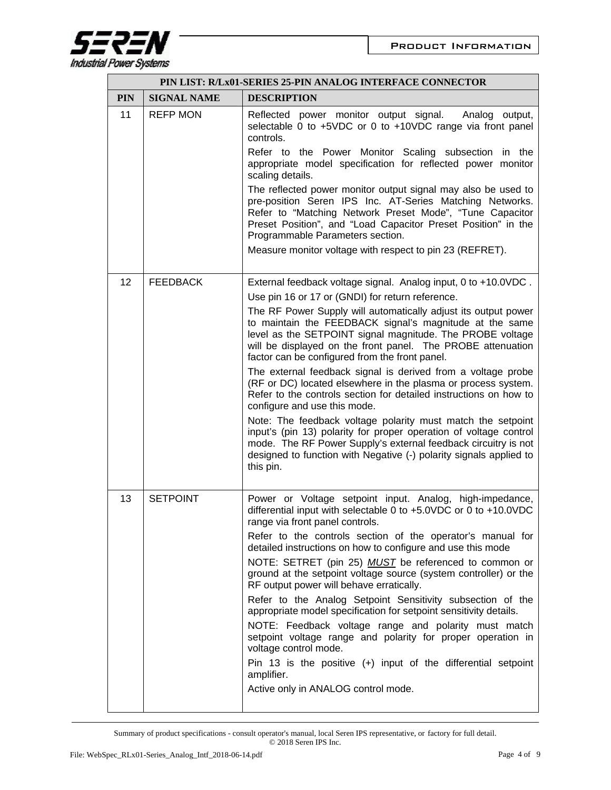

|            | PIN LIST: R/Lx01-SERIES 25-PIN ANALOG INTERFACE CONNECTOR |                                                                                                                                                                                                                                                                                                         |  |
|------------|-----------------------------------------------------------|---------------------------------------------------------------------------------------------------------------------------------------------------------------------------------------------------------------------------------------------------------------------------------------------------------|--|
| <b>PIN</b> | <b>SIGNAL NAME</b>                                        | <b>DESCRIPTION</b>                                                                                                                                                                                                                                                                                      |  |
| 11         | <b>REFP MON</b>                                           | Reflected power monitor output signal.<br>Analog output,<br>selectable 0 to +5VDC or 0 to +10VDC range via front panel<br>controls.                                                                                                                                                                     |  |
|            |                                                           | Refer to the Power Monitor Scaling subsection in the<br>appropriate model specification for reflected power monitor<br>scaling details.                                                                                                                                                                 |  |
|            |                                                           | The reflected power monitor output signal may also be used to<br>pre-position Seren IPS Inc. AT-Series Matching Networks.<br>Refer to "Matching Network Preset Mode", "Tune Capacitor<br>Preset Position", and "Load Capacitor Preset Position" in the<br>Programmable Parameters section.              |  |
|            |                                                           | Measure monitor voltage with respect to pin 23 (REFRET).                                                                                                                                                                                                                                                |  |
| 12         | <b>FEEDBACK</b>                                           | External feedback voltage signal. Analog input, 0 to +10.0VDC.                                                                                                                                                                                                                                          |  |
|            |                                                           | Use pin 16 or 17 or (GNDI) for return reference.                                                                                                                                                                                                                                                        |  |
|            |                                                           | The RF Power Supply will automatically adjust its output power<br>to maintain the FEEDBACK signal's magnitude at the same<br>level as the SETPOINT signal magnitude. The PROBE voltage<br>will be displayed on the front panel. The PROBE attenuation<br>factor can be configured from the front panel. |  |
|            |                                                           | The external feedback signal is derived from a voltage probe<br>(RF or DC) located elsewhere in the plasma or process system.<br>Refer to the controls section for detailed instructions on how to<br>configure and use this mode.                                                                      |  |
|            |                                                           | Note: The feedback voltage polarity must match the setpoint<br>input's (pin 13) polarity for proper operation of voltage control<br>mode. The RF Power Supply's external feedback circuitry is not<br>designed to function with Negative (-) polarity signals applied to<br>this pin.                   |  |
| 13         | <b>SETPOINT</b>                                           | Power or Voltage setpoint input. Analog, high-impedance,<br>differential input with selectable 0 to +5.0VDC or 0 to +10.0VDC<br>range via front panel controls.                                                                                                                                         |  |
|            |                                                           | Refer to the controls section of the operator's manual for<br>detailed instructions on how to configure and use this mode<br>NOTE: SETRET (pin 25) MUST be referenced to common or                                                                                                                      |  |
|            |                                                           | ground at the setpoint voltage source (system controller) or the<br>RF output power will behave erratically.                                                                                                                                                                                            |  |
|            |                                                           | Refer to the Analog Setpoint Sensitivity subsection of the<br>appropriate model specification for setpoint sensitivity details.                                                                                                                                                                         |  |
|            |                                                           | NOTE: Feedback voltage range and polarity must match<br>setpoint voltage range and polarity for proper operation in<br>voltage control mode.                                                                                                                                                            |  |
|            |                                                           | Pin 13 is the positive $(+)$ input of the differential setpoint<br>amplifier.                                                                                                                                                                                                                           |  |
|            |                                                           | Active only in ANALOG control mode.                                                                                                                                                                                                                                                                     |  |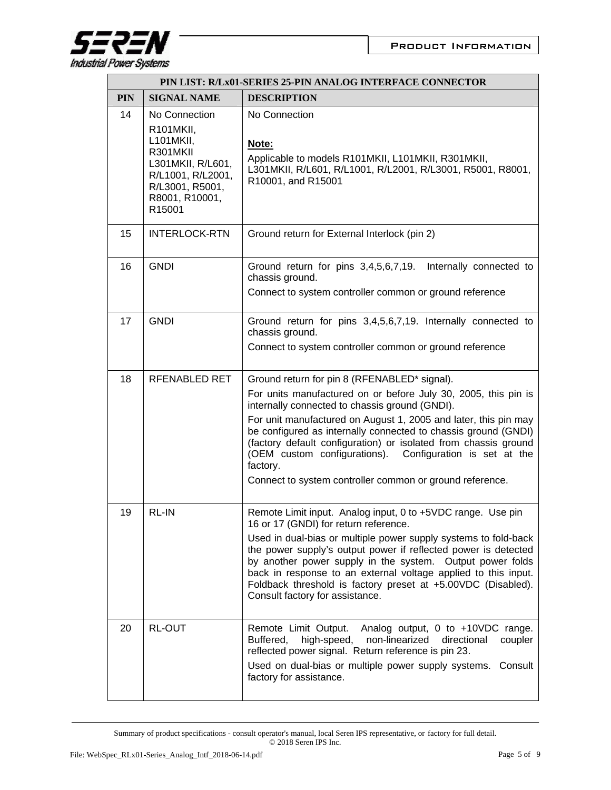

|            | PIN LIST: R/Lx01-SERIES 25-PIN ANALOG INTERFACE CONNECTOR                                                                                    |                                                                                                                                                                                                                                                                                                                                                                                                                                                                                                              |  |
|------------|----------------------------------------------------------------------------------------------------------------------------------------------|--------------------------------------------------------------------------------------------------------------------------------------------------------------------------------------------------------------------------------------------------------------------------------------------------------------------------------------------------------------------------------------------------------------------------------------------------------------------------------------------------------------|--|
| <b>PIN</b> | <b>SIGNAL NAME</b>                                                                                                                           | <b>DESCRIPTION</b>                                                                                                                                                                                                                                                                                                                                                                                                                                                                                           |  |
| 14         | No Connection<br>R101MKII,<br>L101MKII,<br>R301MKII<br>L301MKII, R/L601,<br>R/L1001, R/L2001,<br>R/L3001, R5001,<br>R8001, R10001,<br>R15001 | No Connection<br>Note:<br>Applicable to models R101MKII, L101MKII, R301MKII,<br>L301MKII, R/L601, R/L1001, R/L2001, R/L3001, R5001, R8001,<br>R10001, and R15001                                                                                                                                                                                                                                                                                                                                             |  |
| 15         | <b>INTERLOCK-RTN</b>                                                                                                                         | Ground return for External Interlock (pin 2)                                                                                                                                                                                                                                                                                                                                                                                                                                                                 |  |
| 16         | <b>GNDI</b>                                                                                                                                  | Ground return for pins 3,4,5,6,7,19. Internally connected to<br>chassis ground.<br>Connect to system controller common or ground reference                                                                                                                                                                                                                                                                                                                                                                   |  |
| 17         | <b>GNDI</b>                                                                                                                                  | Ground return for pins 3,4,5,6,7,19. Internally connected to<br>chassis ground.<br>Connect to system controller common or ground reference                                                                                                                                                                                                                                                                                                                                                                   |  |
| 18         | RFENABLED RET                                                                                                                                | Ground return for pin 8 (RFENABLED* signal).<br>For units manufactured on or before July 30, 2005, this pin is<br>internally connected to chassis ground (GNDI).<br>For unit manufactured on August 1, 2005 and later, this pin may<br>be configured as internally connected to chassis ground (GNDI)<br>(factory default configuration) or isolated from chassis ground<br>(OEM custom configurations). Configuration is set at the<br>factory.<br>Connect to system controller common or ground reference. |  |
| 19         | <b>RL-IN</b>                                                                                                                                 | Remote Limit input. Analog input, 0 to +5VDC range. Use pin<br>16 or 17 (GNDI) for return reference.<br>Used in dual-bias or multiple power supply systems to fold-back<br>the power supply's output power if reflected power is detected<br>by another power supply in the system. Output power folds<br>back in response to an external voltage applied to this input.<br>Foldback threshold is factory preset at +5.00VDC (Disabled).<br>Consult factory for assistance.                                  |  |
| 20         | <b>RL-OUT</b>                                                                                                                                | Remote Limit Output.<br>Analog output, 0 to +10VDC range.<br>high-speed,<br>non-linearized<br>Buffered,<br>directional<br>coupler<br>reflected power signal. Return reference is pin 23.<br>Used on dual-bias or multiple power supply systems.<br>Consult<br>factory for assistance.                                                                                                                                                                                                                        |  |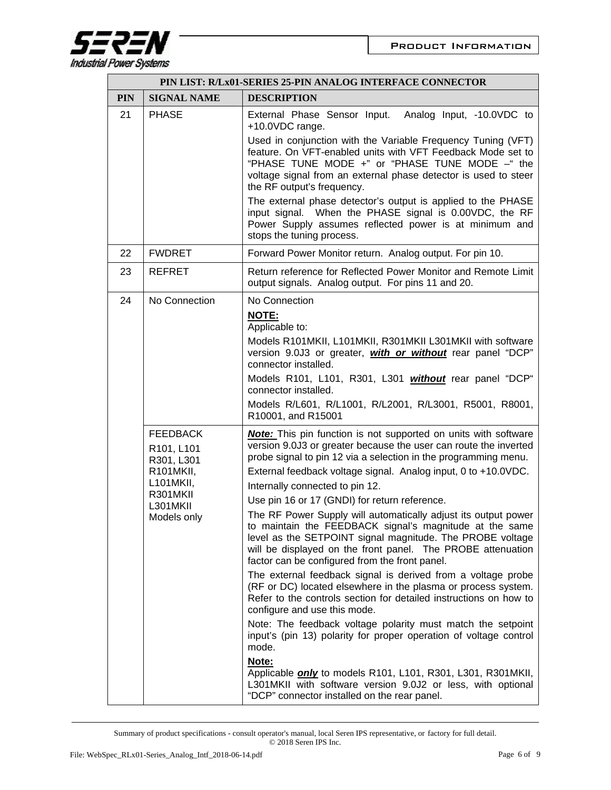

| PIN LIST: R/Lx01-SERIES 25-PIN ANALOG INTERFACE CONNECTOR |                                                                                                              |                                                                                                                                                                                                                                                                                                                                                                                                                                                                                                                                                                                                                                                                                                                                                                                                                                                                                                                                                                                                                                                                                                                                                                                                                 |
|-----------------------------------------------------------|--------------------------------------------------------------------------------------------------------------|-----------------------------------------------------------------------------------------------------------------------------------------------------------------------------------------------------------------------------------------------------------------------------------------------------------------------------------------------------------------------------------------------------------------------------------------------------------------------------------------------------------------------------------------------------------------------------------------------------------------------------------------------------------------------------------------------------------------------------------------------------------------------------------------------------------------------------------------------------------------------------------------------------------------------------------------------------------------------------------------------------------------------------------------------------------------------------------------------------------------------------------------------------------------------------------------------------------------|
| <b>PIN</b>                                                | <b>SIGNAL NAME</b>                                                                                           | <b>DESCRIPTION</b>                                                                                                                                                                                                                                                                                                                                                                                                                                                                                                                                                                                                                                                                                                                                                                                                                                                                                                                                                                                                                                                                                                                                                                                              |
| 21                                                        | <b>PHASE</b>                                                                                                 | External Phase Sensor Input. Analog Input, -10.0VDC to<br>+10.0VDC range.                                                                                                                                                                                                                                                                                                                                                                                                                                                                                                                                                                                                                                                                                                                                                                                                                                                                                                                                                                                                                                                                                                                                       |
|                                                           |                                                                                                              | Used in conjunction with the Variable Frequency Tuning (VFT)<br>feature. On VFT-enabled units with VFT Feedback Mode set to<br>"PHASE TUNE MODE +" or "PHASE TUNE MODE -" the<br>voltage signal from an external phase detector is used to steer<br>the RF output's frequency.                                                                                                                                                                                                                                                                                                                                                                                                                                                                                                                                                                                                                                                                                                                                                                                                                                                                                                                                  |
|                                                           |                                                                                                              | The external phase detector's output is applied to the PHASE<br>input signal. When the PHASE signal is 0.00VDC, the RF<br>Power Supply assumes reflected power is at minimum and<br>stops the tuning process.                                                                                                                                                                                                                                                                                                                                                                                                                                                                                                                                                                                                                                                                                                                                                                                                                                                                                                                                                                                                   |
| 22                                                        | <b>FWDRET</b>                                                                                                | Forward Power Monitor return. Analog output. For pin 10.                                                                                                                                                                                                                                                                                                                                                                                                                                                                                                                                                                                                                                                                                                                                                                                                                                                                                                                                                                                                                                                                                                                                                        |
| 23                                                        | <b>REFRET</b>                                                                                                | Return reference for Reflected Power Monitor and Remote Limit<br>output signals. Analog output. For pins 11 and 20.                                                                                                                                                                                                                                                                                                                                                                                                                                                                                                                                                                                                                                                                                                                                                                                                                                                                                                                                                                                                                                                                                             |
| 24                                                        | No Connection                                                                                                | No Connection<br><b>NOTE:</b><br>Applicable to:<br>Models R101MKII, L101MKII, R301MKII L301MKII with software<br>version 9.0J3 or greater, with or without rear panel "DCP"<br>connector installed.<br>Models R101, L101, R301, L301 <i>without</i> rear panel "DCP"<br>connector installed.<br>Models R/L601, R/L1001, R/L2001, R/L3001, R5001, R8001,<br>R10001, and R15001                                                                                                                                                                                                                                                                                                                                                                                                                                                                                                                                                                                                                                                                                                                                                                                                                                   |
|                                                           | <b>FEEDBACK</b><br>R101, L101<br>R301, L301<br>R101MKII,<br>L101MKII,<br>R301MKII<br>L301MKII<br>Models only | <b>Note:</b> This pin function is not supported on units with software<br>version 9.0J3 or greater because the user can route the inverted<br>probe signal to pin 12 via a selection in the programming menu.<br>External feedback voltage signal. Analog input, 0 to +10.0VDC.<br>Internally connected to pin 12.<br>Use pin 16 or 17 (GNDI) for return reference.<br>The RF Power Supply will automatically adjust its output power<br>to maintain the FEEDBACK signal's magnitude at the same<br>level as the SETPOINT signal magnitude. The PROBE voltage<br>will be displayed on the front panel. The PROBE attenuation<br>factor can be configured from the front panel.<br>The external feedback signal is derived from a voltage probe<br>(RF or DC) located elsewhere in the plasma or process system.<br>Refer to the controls section for detailed instructions on how to<br>configure and use this mode.<br>Note: The feedback voltage polarity must match the setpoint<br>input's (pin 13) polarity for proper operation of voltage control<br>mode.<br>Note:<br>Applicable <i>only</i> to models R101, L101, R301, L301, R301MKII,<br>L301MKII with software version 9.0J2 or less, with optional |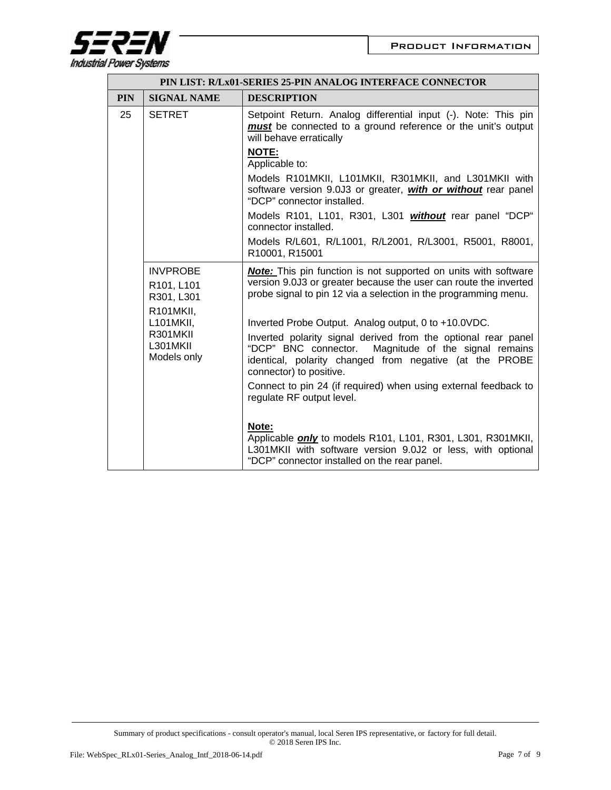

| PIN LIST: R/Lx01-SERIES 25-PIN ANALOG INTERFACE CONNECTOR |                                                               |                                                                                                                                                                                                                                                                        |
|-----------------------------------------------------------|---------------------------------------------------------------|------------------------------------------------------------------------------------------------------------------------------------------------------------------------------------------------------------------------------------------------------------------------|
| <b>PIN</b>                                                | <b>SIGNAL NAME</b>                                            | <b>DESCRIPTION</b>                                                                                                                                                                                                                                                     |
| 25                                                        | <b>SETRET</b>                                                 | Setpoint Return. Analog differential input (-). Note: This pin<br>must be connected to a ground reference or the unit's output<br>will behave erratically                                                                                                              |
|                                                           |                                                               | <b>NOTE:</b><br>Applicable to:                                                                                                                                                                                                                                         |
|                                                           |                                                               | Models R101MKII, L101MKII, R301MKII, and L301MKII with<br>software version 9.0J3 or greater, with or without rear panel<br>"DCP" connector installed.                                                                                                                  |
|                                                           |                                                               | Models R101, L101, R301, L301 <i>without</i> rear panel "DCP"<br>connector installed.                                                                                                                                                                                  |
|                                                           |                                                               | Models R/L601, R/L1001, R/L2001, R/L3001, R5001, R8001,<br>R10001, R15001                                                                                                                                                                                              |
|                                                           | <b>INVPROBE</b><br>R101, L101<br>R301, L301                   | <b>Note:</b> This pin function is not supported on units with software<br>version 9.0J3 or greater because the user can route the inverted<br>probe signal to pin 12 via a selection in the programming menu.                                                          |
|                                                           | R101MKII,<br>L101MKII,<br>R301MKII<br>L301MKII<br>Models only | Inverted Probe Output. Analog output, 0 to +10.0VDC.<br>Inverted polarity signal derived from the optional rear panel<br>"DCP" BNC connector.<br>Magnitude of the signal remains<br>identical, polarity changed from negative (at the PROBE<br>connector) to positive. |
|                                                           |                                                               | Connect to pin 24 (if required) when using external feedback to<br>regulate RF output level.                                                                                                                                                                           |
|                                                           |                                                               | Note:<br>Applicable only to models R101, L101, R301, L301, R301MKII,<br>L301MKII with software version 9.0J2 or less, with optional<br>"DCP" connector installed on the rear panel.                                                                                    |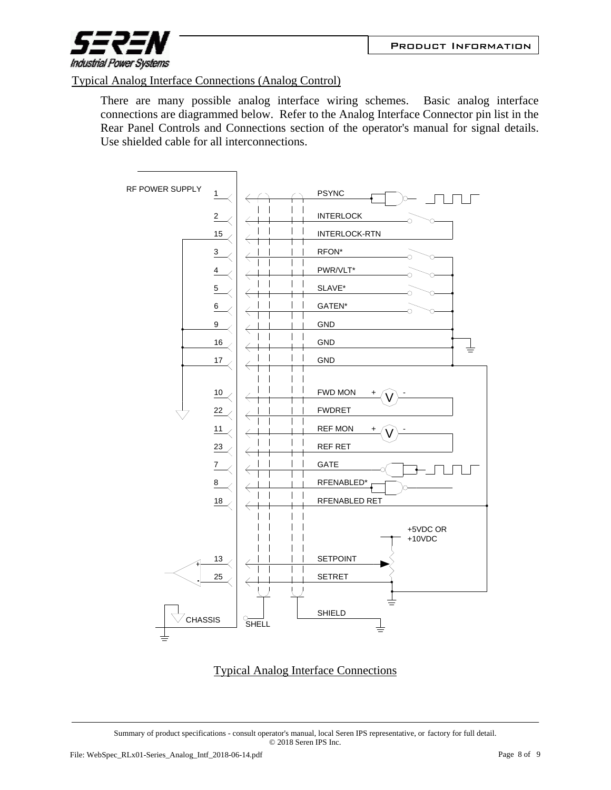

## Typical Analog Interface Connections (Analog Control)

There are many possible analog interface wiring schemes. Basic analog interface connections are diagrammed below. Refer to the Analog Interface Connector pin list in the Rear Panel Controls and Connections section of the operator's manual for signal details. Use shielded cable for all interconnections.



## Typical Analog Interface Connections